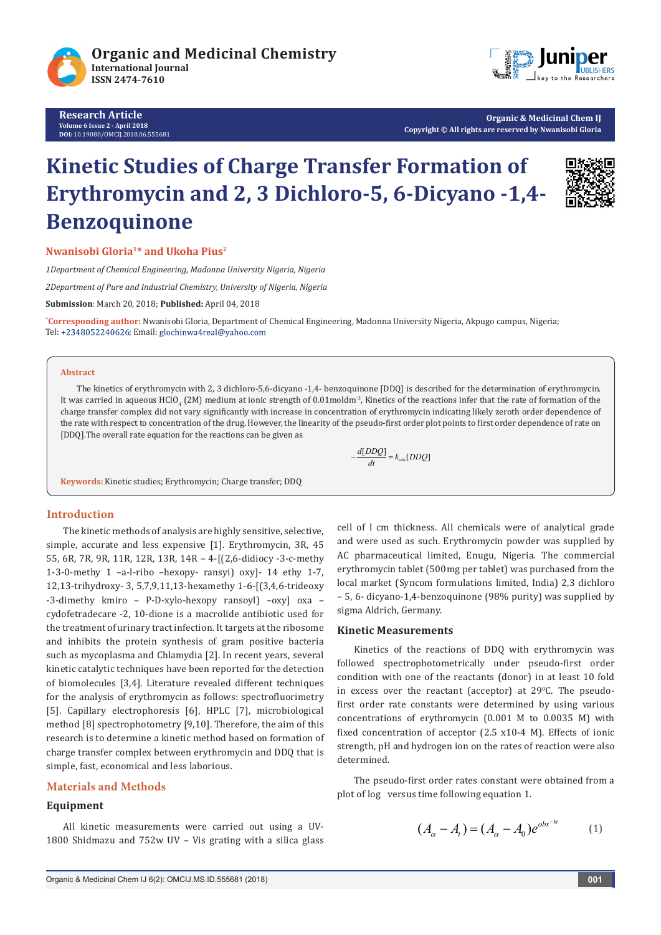

**Research Article Volume 6 Issue 2 - April 2018 DOI:** [10.19080/OMCIJ.2018.06.555681](http://dx.doi.org/10.19080/OMCIJ.2018.06.555681)



**Organic & Medicinal Chem IJ Copyright © All rights are reserved by Nwanisobi Gloria**

# **Kinetic Studies of Charge Transfer Formation of Erythromycin and 2, 3 Dichloro-5, 6-Dicyano -1,4- Benzoquinone**



**Nwanisobi Gloria1\* and Ukoha Pius2** 

*1Department of Chemical Engineering, Madonna University Nigeria, Nigeria*

*2Department of Pure and Industrial Chemistry, University of Nigeria, Nigeria*

**Submission**: March 20, 2018; **Published:** April 04, 2018

**\* Corresponding author:** Nwanisobi Gloria, Department of Chemical Engineering, Madonna University Nigeria, Akpugo campus, Nigeria; Tel: +2348052240626; Email: glochinwa4real@yahoo.com

#### **Abstract**

The kinetics of erythromycin with 2, 3 dichloro-5,6-dicyano -1,4- benzoquinone [DDQ] is described for the determination of erythromycin. It was carried in aqueous HClO<sub>4</sub> (2M) medium at ionic strength of 0.01moldm<sup>-3</sup>, Kinetics of the reactions infer that the rate of formation of the charge transfer complex did not vary significantly with increase in concentration of erythromycin indicating likely zeroth order dependence of the rate with respect to concentration of the drug. However, the linearity of the pseudo-first order plot points to first order dependence of rate on [DDQ].The overall rate equation for the reactions can be given as

 $-\frac{d[DDQ]}{dt} = k_{obs}[DDQ]$ 

**Keywords:** Kinetic studies; Erythromycin; Charge transfer; DDQ

#### **Introduction**

The kinetic methods of analysis are highly sensitive, selective, simple, accurate and less expensive [1]. Erythromycin, 3R, 45 55, 6R, 7R, 9R, 11R, 12R, 13R, 14R – 4-[(2,6-didiocy -3-c-methy 1-3-0-methy 1 –a-l-ribo –hexopy- ransyi) oxy]- 14 ethy 1-7, 12,13-trihydroxy- 3, 5,7,9,11,13-hexamethy 1-6-[(3,4,6-trideoxy -3-dimethy kmiro – P-D-xylo-hexopy ransoyl) –oxy] oxa – cydofetradecare -2, 10-dione is a macrolide antibiotic used for the treatment of urinary tract infection. It targets at the ribosome and inhibits the protein synthesis of gram positive bacteria such as mycoplasma and Chlamydia [2]. In recent years, several kinetic catalytic techniques have been reported for the detection of biomolecules [3,4]. Literature revealed different techniques for the analysis of erythromycin as follows: spectrofluorimetry [5]. Capillary electrophoresis [6], HPLC [7], microbiological method [8] spectrophotometry [9,10]. Therefore, the aim of this research is to determine a kinetic method based on formation of charge transfer complex between erythromycin and DDQ that is simple, fast, economical and less laborious.

#### **Materials and Methods**

### **Equipment**

All kinetic measurements were carried out using a UV-1800 Shidmazu and 752w UV – Vis grating with a silica glass cell of l cm thickness. All chemicals were of analytical grade and were used as such. Erythromycin powder was supplied by AC pharmaceutical limited, Enugu, Nigeria. The commercial erythromycin tablet (500mg per tablet) was purchased from the local market (Syncom formulations limited, India) 2,3 dichloro – 5, 6- dicyano-1,4-benzoquinone (98% purity) was supplied by sigma Aldrich, Germany.

#### **Kinetic Measurements**

Kinetics of the reactions of DDQ with erythromycin was followed spectrophotometrically under pseudo-first order condition with one of the reactants (donor) in at least 10 fold in excess over the reactant (acceptor) at  $29^{\circ}$ C. The pseudofirst order rate constants were determined by using various concentrations of erythromycin (0.001 M to 0.0035 M) with fixed concentration of acceptor (2.5 x10-4 M). Effects of ionic strength, pH and hydrogen ion on the rates of reaction were also determined.

The pseudo-first order rates constant were obtained from a plot of log versus time following equation 1.

$$
(A_{\alpha} - A_{\iota}) = (A_{\alpha} - A_0)e^{\iota b s^{-k}} \tag{1}
$$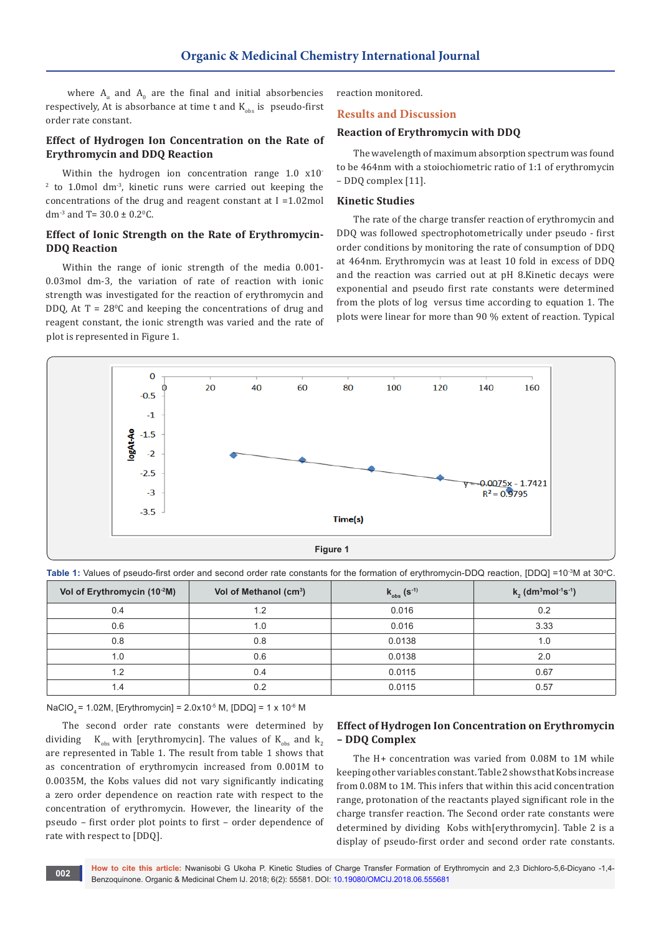where  $A_{\alpha}$  and  $A_0$  are the final and initial absorbencies respectively, At is absorbance at time t and  $K_{obs}$  is pseudo-first order rate constant.

## **Effect of Hydrogen Ion Concentration on the Rate of Erythromycin and DDQ Reaction**

Within the hydrogen ion concentration range 1.0 x10<sup>-</sup>  $2$  to 1.0 mol dm<sup>-3</sup>, kinetic runs were carried out keeping the concentrations of the drug and reagent constant at I =1.02mol dm<sup>-3</sup> and T=  $30.0 \pm 0.2$ <sup>o</sup>C.

## **Effect of Ionic Strength on the Rate of Erythromycin-DDQ Reaction**

Within the range of ionic strength of the media 0.001- 0.03mol dm-3, the variation of rate of reaction with ionic strength was investigated for the reaction of erythromycin and  $DDQ$ , At  $T = 28°C$  and keeping the concentrations of drug and reagent constant, the ionic strength was varied and the rate of plot is represented in Figure 1.

reaction monitored.

#### **Results and Discussion**

## **Reaction of Erythromycin with DDQ**

The wavelength of maximum absorption spectrum was found to be 464nm with a stoiochiometric ratio of 1:1 of erythromycin – DDQ complex [11].

#### **Kinetic Studies**

The rate of the charge transfer reaction of erythromycin and DDQ was followed spectrophotometrically under pseudo - first order conditions by monitoring the rate of consumption of DDQ at 464nm. Erythromycin was at least 10 fold in excess of DDQ and the reaction was carried out at pH 8.Kinetic decays were exponential and pseudo first rate constants were determined from the plots of log versus time according to equation 1. The plots were linear for more than 90 % extent of reaction. Typical



**Table 1:** Values of pseudo-first order and second order rate constants for the formation of erythromycin-DDQ reaction, [DDQ] =10<sup>.3</sup>M at 30°C.

| Vol of Erythromycin (10-2M) | Vol of Methanol (cm <sup>3</sup> ) | $k_{obs}$ (s <sup>-1)</sup> | $k_2$ (dm <sup>3</sup> mol <sup>-1</sup> s <sup>-1</sup> ) |
|-----------------------------|------------------------------------|-----------------------------|------------------------------------------------------------|
| 0.4                         | 1.2                                | 0.016                       | 0.2                                                        |
| 0.6                         | 1.0                                | 0.016                       | 3.33                                                       |
| 0.8                         | 0.8                                | 0.0138                      | 1.0                                                        |
| 1.0                         | 0.6                                | 0.0138                      | 2.0                                                        |
| 1.2                         | 0.4                                | 0.0115                      | 0.67                                                       |
| 1.4                         | 0.2                                | 0.0115                      | 0.57                                                       |

NaClO<sub>4</sub> = 1.02M, [Erythromycin] =  $2.0x10^{-5}$  M, [DDQ] = 1 x 10<sup>-6</sup> M

The second order rate constants were determined by dividing  $K_{obs}$  with [erythromycin]. The values of  $K_{obs}$  and  $k<sub>2</sub>$ are represented in Table 1. The result from table 1 shows that as concentration of erythromycin increased from 0.001M to 0.0035M, the Kobs values did not vary significantly indicating a zero order dependence on reaction rate with respect to the concentration of erythromycin. However, the linearity of the pseudo – first order plot points to first – order dependence of rate with respect to [DDQ].

## **Effect of Hydrogen Ion Concentration on Erythromycin – DDQ Complex**

The H+ concentration was varied from 0.08M to 1M while keeping other variables constant. Table 2 shows that Kobs increase from 0.08M to 1M. This infers that within this acid concentration range, protonation of the reactants played significant role in the charge transfer reaction. The Second order rate constants were determined by dividing Kobs with[erythromycin]. Table 2 is a display of pseudo-first order and second order rate constants.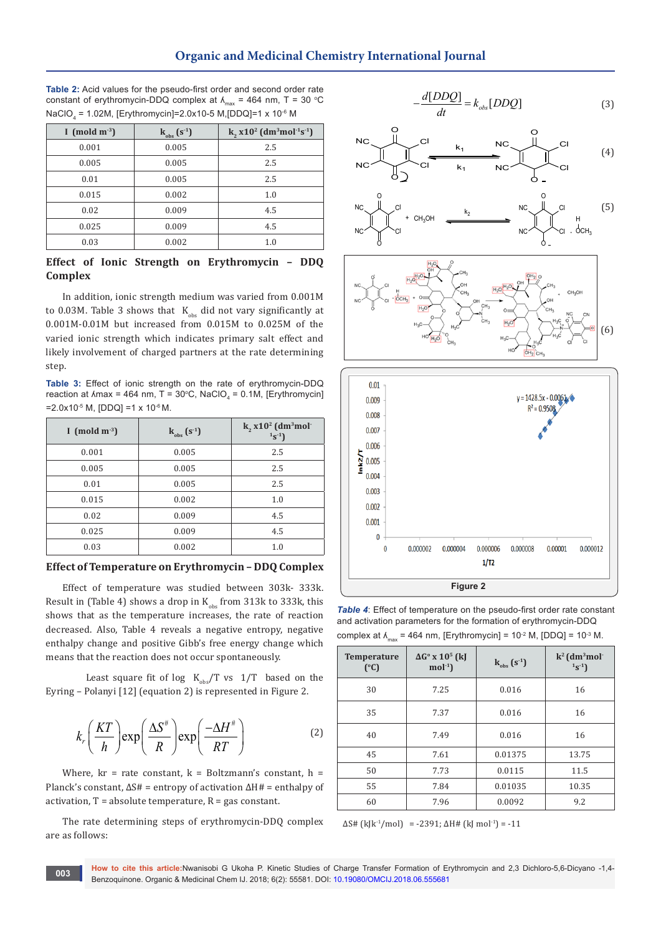## **Organic and Medicinal Chemistry International Journal**

**Table 2:** Acid values for the pseudo-first order and second order rate constant of erythromycin-DDQ complex at  $\lambda_{\text{max}} = 464$  nm, T = 30 °C NaClO $_{_4}$  = 1.02M, [Erythromycin]=2.0x10-5 M,[DDQ]=1 x 10<sup>-6</sup> M

| I (mold $m^{-3}$ ) | $k_{obs}$ (s <sup>-1</sup> ) | k, $x10^2$ (dm <sup>3</sup> mol <sup>-1</sup> s <sup>-1</sup> ) |
|--------------------|------------------------------|-----------------------------------------------------------------|
| 0.001              | 0.005                        | 2.5                                                             |
| 0.005              | 0.005                        | 2.5                                                             |
| 0.01               | 0.005                        | 2.5                                                             |
| 0.015              | 0.002                        | 1.0                                                             |
| 0.02               | 0.009                        | 4.5                                                             |
| 0.025              | 0.009                        | 4.5                                                             |
| 0.03               | 0.002                        | 1.0                                                             |

## **Effect of Ionic Strength on Erythromycin – DDQ Complex**

In addition, ionic strength medium was varied from 0.001M to 0.03M. Table 3 shows that  $K_{obs}$  did not vary significantly at 0.001M-0.01M but increased from 0.015M to 0.025M of the varied ionic strength which indicates primary salt effect and likely involvement of charged partners at the rate determining step.

**Table 3:** Effect of ionic strength on the rate of erythromycin-DDQ reaction at  $\text{Amax} = 464 \text{ nm}, T = 30^{\circ}\text{C}, \text{NaClO}_4 = 0.1 \text{M}, [\text{Erythromycin}]$  $=2.0x10^{-5}$  M, [DDQ] =1 x 10<sup>-6</sup> M.

| I (mold $m^{-3}$ ) | $k_{obs}$ (s <sup>-1</sup> ) | $k_2 x 10^2$ (dm <sup>3</sup> mol <sup>-</sup><br>$1_S-1$ |
|--------------------|------------------------------|-----------------------------------------------------------|
| 0.001              | 0.005                        | 2.5                                                       |
| 0.005              | 0.005                        | 2.5                                                       |
| 0.01               | 0.005                        | 2.5                                                       |
| 0.015              | 0.002                        | 1.0                                                       |
| 0.02               | 0.009                        | 4.5                                                       |
| 0.025              | 0.009                        | 4.5                                                       |
| 0.03               | 0.002                        | 1.0                                                       |

#### **Effect of Temperature on Erythromycin – DDQ Complex**

Effect of temperature was studied between 303k- 333k. Result in (Table 4) shows a drop in  $K_{obs}$  from 313k to 333k, this shows that as the temperature increases, the rate of reaction decreased. Also, Table 4 reveals a negative entropy, negative enthalpy change and positive Gibb's free energy change which means that the reaction does not occur spontaneously.

Least square fit of log  $K_{obs}/T$  vs  $1/T$  based on the Eyring – Polanyi [12] (equation 2) is represented in Figure 2.

$$
k_r \left(\frac{KT}{h}\right) \exp\left(\frac{\Delta S^{\#}}{R}\right) \exp\left(\frac{-\Delta H^{\#}}{RT}\right) \tag{2}
$$

Where,  $kr = rate constant$ ,  $k = Boltzmann's constant$ ,  $h =$ Planck's constant, ΔS# = entropy of activation ΔH# = enthalpy of activation,  $T = absolute$  temperature,  $R = gas$  constant.

The rate determining steps of erythromycin-DDQ complex are as follows:

$$
-\frac{d[DDQ]}{dt} = k_{obs}[DDQ]
$$
 (3)



**Figure 2**

*Table 4*: Effect of temperature on the pseudo-first order rate constant and activation parameters for the formation of erythromycin-DDQ complex at  $\lambda_{\text{max}}$  = 464 nm, [Erythromycin] = 10<sup>-2</sup> M, [DDQ] = 10<sup>-3</sup> M.

| <b>Temperature</b><br>$(^{\circ}C)$ | $\Delta G^{\circ}$ x 10 <sup>5</sup> (kJ<br>$mol-1$ | $k_{obs}$ $(s^{\text{-}1})$ | $k^2$ (dm <sup>3</sup> mol <sup>-</sup><br>$1s^{-1}$ |
|-------------------------------------|-----------------------------------------------------|-----------------------------|------------------------------------------------------|
| 30                                  | 7.25                                                | 0.016                       | 16                                                   |
| 35                                  | 7.37                                                | 0.016                       | 16                                                   |
| 40                                  | 7.49                                                | 0.016                       | 16                                                   |
| 45                                  | 7.61                                                | 0.01375                     | 13.75                                                |
| 50                                  | 7.73                                                | 0.0115                      | 11.5                                                 |
| 55                                  | 7.84                                                | 0.01035                     | 10.35                                                |
| 60                                  | 7.96                                                | 0.0092                      | 9.2                                                  |

 $\Delta S \# (k[k^{-1}/mol) = -2391; \Delta H \# (kJ mol^{-1}) = -11$